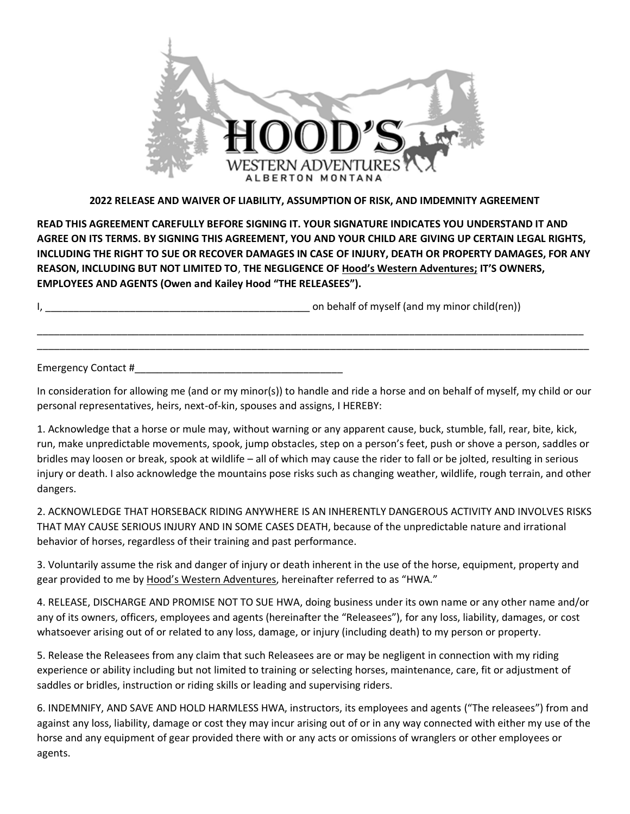

## **2022 RELEASE AND WAIVER OF LIABILITY, ASSUMPTION OF RISK, AND IMDEMNITY AGREEMENT**

**READ THIS AGREEMENT CAREFULLY BEFORE SIGNING IT. YOUR SIGNATURE INDICATES YOU UNDERSTAND IT AND AGREE ON ITS TERMS. BY SIGNING THIS AGREEMENT, YOU AND YOUR CHILD ARE GIVING UP CERTAIN LEGAL RIGHTS, INCLUDING THE RIGHT TO SUE OR RECOVER DAMAGES IN CASE OF INJURY, DEATH OR PROPERTY DAMAGES, FOR ANY REASON, INCLUDING BUT NOT LIMITED TO**, **THE NEGLIGENCE OF Hood's Western Adventures; IT'S OWNERS, EMPLOYEES AND AGENTS (Owen and Kailey Hood "THE RELEASEES").**

I, the contract of the contract of the contract of the behalf of myself (and my minor child(ren))

Emergency Contact #

In consideration for allowing me (and or my minor(s)) to handle and ride a horse and on behalf of myself, my child or our personal representatives, heirs, next-of-kin, spouses and assigns, I HEREBY:

\_\_\_\_\_\_\_\_\_\_\_\_\_\_\_\_\_\_\_\_\_\_\_\_\_\_\_\_\_\_\_\_\_\_\_\_\_\_\_\_\_\_\_\_\_\_\_\_\_\_\_\_\_\_\_\_\_\_\_\_\_\_\_\_\_\_\_\_\_\_\_\_\_\_\_\_\_\_\_\_\_\_\_\_\_\_\_\_\_\_\_\_\_\_\_\_\_ \_\_\_\_\_\_\_\_\_\_\_\_\_\_\_\_\_\_\_\_\_\_\_\_\_\_\_\_\_\_\_\_\_\_\_\_\_\_\_\_\_\_\_\_\_\_\_\_\_\_\_\_\_\_\_\_\_\_\_\_\_\_\_\_\_\_\_\_\_\_\_\_\_\_\_\_\_\_\_\_\_\_\_\_\_\_\_\_\_\_\_\_\_\_\_\_\_\_

1. Acknowledge that a horse or mule may, without warning or any apparent cause, buck, stumble, fall, rear, bite, kick, run, make unpredictable movements, spook, jump obstacles, step on a person's feet, push or shove a person, saddles or bridles may loosen or break, spook at wildlife – all of which may cause the rider to fall or be jolted, resulting in serious injury or death. I also acknowledge the mountains pose risks such as changing weather, wildlife, rough terrain, and other dangers.

2. ACKNOWLEDGE THAT HORSEBACK RIDING ANYWHERE IS AN INHERENTLY DANGEROUS ACTIVITY AND INVOLVES RISKS THAT MAY CAUSE SERIOUS INJURY AND IN SOME CASES DEATH, because of the unpredictable nature and irrational behavior of horses, regardless of their training and past performance.

3. Voluntarily assume the risk and danger of injury or death inherent in the use of the horse, equipment, property and gear provided to me by Hood's Western Adventures, hereinafter referred to as "HWA."

4. RELEASE, DISCHARGE AND PROMISE NOT TO SUE HWA, doing business under its own name or any other name and/or any of its owners, officers, employees and agents (hereinafter the "Releasees"), for any loss, liability, damages, or cost whatsoever arising out of or related to any loss, damage, or injury (including death) to my person or property.

5. Release the Releasees from any claim that such Releasees are or may be negligent in connection with my riding experience or ability including but not limited to training or selecting horses, maintenance, care, fit or adjustment of saddles or bridles, instruction or riding skills or leading and supervising riders.

6. INDEMNIFY, AND SAVE AND HOLD HARMLESS HWA, instructors, its employees and agents ("The releasees") from and against any loss, liability, damage or cost they may incur arising out of or in any way connected with either my use of the horse and any equipment of gear provided there with or any acts or omissions of wranglers or other employees or agents.